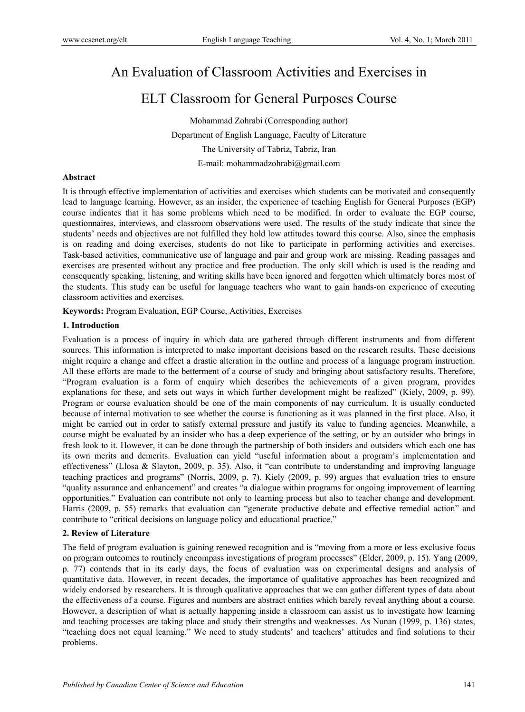# An Evaluation of Classroom Activities and Exercises in

# ELT Classroom for General Purposes Course

Mohammad Zohrabi (Corresponding author) Department of English Language, Faculty of Literature The University of Tabriz, Tabriz, Iran E-mail: mohammadzohrabi@gmail.com

# **Abstract**

It is through effective implementation of activities and exercises which students can be motivated and consequently lead to language learning. However, as an insider, the experience of teaching English for General Purposes (EGP) course indicates that it has some problems which need to be modified. In order to evaluate the EGP course, questionnaires, interviews, and classroom observations were used. The results of the study indicate that since the students' needs and objectives are not fulfilled they hold low attitudes toward this course. Also, since the emphasis is on reading and doing exercises, students do not like to participate in performing activities and exercises. Task-based activities, communicative use of language and pair and group work are missing. Reading passages and exercises are presented without any practice and free production. The only skill which is used is the reading and consequently speaking, listening, and writing skills have been ignored and forgotten which ultimately bores most of the students. This study can be useful for language teachers who want to gain hands-on experience of executing classroom activities and exercises.

**Keywords:** Program Evaluation, EGP Course, Activities, Exercises

### **1. Introduction**

Evaluation is a process of inquiry in which data are gathered through different instruments and from different sources. This information is interpreted to make important decisions based on the research results. These decisions might require a change and effect a drastic alteration in the outline and process of a language program instruction. All these efforts are made to the betterment of a course of study and bringing about satisfactory results. Therefore, "Program evaluation is a form of enquiry which describes the achievements of a given program, provides explanations for these, and sets out ways in which further development might be realized" (Kiely, 2009, p. 99). Program or course evaluation should be one of the main components of nay curriculum. It is usually conducted because of internal motivation to see whether the course is functioning as it was planned in the first place. Also, it might be carried out in order to satisfy external pressure and justify its value to funding agencies. Meanwhile, a course might be evaluated by an insider who has a deep experience of the setting, or by an outsider who brings in fresh look to it. However, it can be done through the partnership of both insiders and outsiders which each one has its own merits and demerits. Evaluation can yield "useful information about a program's implementation and effectiveness" (Llosa & Slayton, 2009, p. 35). Also, it "can contribute to understanding and improving language teaching practices and programs" (Norris, 2009, p. 7). Kiely (2009, p. 99) argues that evaluation tries to ensure "quality assurance and enhancement" and creates "a dialogue within programs for ongoing improvement of learning opportunities." Evaluation can contribute not only to learning process but also to teacher change and development. Harris (2009, p. 55) remarks that evaluation can "generate productive debate and effective remedial action" and contribute to "critical decisions on language policy and educational practice."

# **2. Review of Literature**

The field of program evaluation is gaining renewed recognition and is "moving from a more or less exclusive focus on program outcomes to routinely encompass investigations of program processes" (Elder, 2009, p. 15). Yang (2009, p. 77) contends that in its early days, the focus of evaluation was on experimental designs and analysis of quantitative data. However, in recent decades, the importance of qualitative approaches has been recognized and widely endorsed by researchers. It is through qualitative approaches that we can gather different types of data about the effectiveness of a course. Figures and numbers are abstract entities which barely reveal anything about a course. However, a description of what is actually happening inside a classroom can assist us to investigate how learning and teaching processes are taking place and study their strengths and weaknesses. As Nunan (1999, p. 136) states, "teaching does not equal learning." We need to study students' and teachers' attitudes and find solutions to their problems.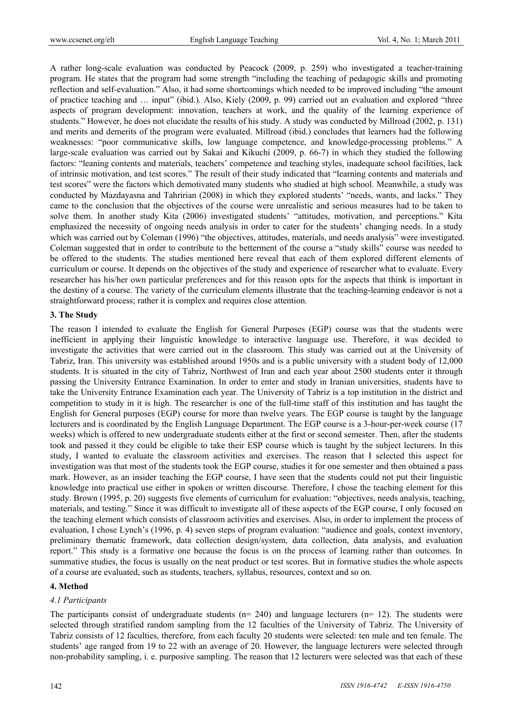A rather long-scale evaluation was conducted by Peacock (2009, p. 259) who investigated a teacher-training program. He states that the program had some strength "including the teaching of pedagogic skills and promoting reflection and self-evaluation." Also, it had some shortcomings which needed to be improved including "the amount of practice teaching and … input" (ibid.). Also, Kiely (2009, p. 99) carried out an evaluation and explored "three aspects of program development: innovation, teachers at work, and the quality of the learning experience of students." However, he does not elucidate the results of his study. A study was conducted by Millroad (2002, p. 131) and merits and demerits of the program were evaluated. Millroad (ibid.) concludes that learners had the following weaknesses: "poor communicative skills, low language competence, and knowledge-processing problems." A large-scale evaluation was carried out by Sakai and Kikuchi (2009, p. 66-7) in which they studied the following factors: "leaning contents and materials, teachers' competence and teaching styles, inadequate school facilities, lack of intrinsic motivation, and test scores." The result of their study indicated that "learning contents and materials and test scores" were the factors which demotivated many students who studied at high school. Meanwhile, a study was conducted by Mazdayasna and Tahririan (2008) in which they explored students' "needs, wants, and lacks." They came to the conclusion that the objectives of the course were unrealistic and serious measures had to be taken to solve them. In another study Kita (2006) investigated students' "attitudes, motivation, and perceptions." Kita emphasized the necessity of ongoing needs analysis in order to cater for the students' changing needs. In a study which was carried out by Coleman (1996) "the objectives, attitudes, materials, and needs analysis" were investigated. Coleman suggested that in order to contribute to the betterment of the course a "study skills" course was needed to be offered to the students. The studies mentioned here reveal that each of them explored different elements of curriculum or course. It depends on the objectives of the study and experience of researcher what to evaluate. Every researcher has his/her own particular preferences and for this reason opts for the aspects that think is important in the destiny of a course. The variety of the curriculum elements illustrate that the teaching-learning endeavor is not a straightforward process; rather it is complex and requires close attention.

### **3. The Study**

The reason I intended to evaluate the English for General Purposes (EGP) course was that the students were inefficient in applying their linguistic knowledge to interactive language use. Therefore, it was decided to investigate the activities that were carried out in the classroom. This study was carried out at the University of Tabriz, Iran. This university was established around 1950s and is a public university with a student body of 12,000 students. It is situated in the city of Tabriz, Northwest of Iran and each year about 2500 students enter it through passing the University Entrance Examination. In order to enter and study in Iranian universities, students have to take the University Entrance Examination each year. The University of Tabriz is a top institution in the district and competition to study in it is high. The researcher is one of the full-time staff of this institution and has taught the English for General purposes (EGP) course for more than twelve years. The EGP course is taught by the language lecturers and is coordinated by the English Language Department. The EGP course is a 3-hour-per-week course (17 weeks) which is offered to new undergraduate students either at the first or second semester. Then, after the students took and passed it they could be eligible to take their ESP course which is taught by the subject lecturers. In this study, I wanted to evaluate the classroom activities and exercises. The reason that I selected this aspect for investigation was that most of the students took the EGP course, studies it for one semester and then obtained a pass mark. However, as an insider teaching the EGP course, I have seen that the students could not put their linguistic knowledge into practical use either in spoken or written discourse. Therefore, I chose the teaching element for this study. Brown (1995, p. 20) suggests five elements of curriculum for evaluation: "objectives, needs analysis, teaching, materials, and testing." Since it was difficult to investigate all of these aspects of the EGP course, I only focused on the teaching element which consists of classroom activities and exercises. Also, in order to implement the process of evaluation, I chose Lynch's (1996, p. 4) seven steps of program evaluation: "audience and goals, context inventory, preliminary thematic framework, data collection design/system, data collection, data analysis, and evaluation report." This study is a formative one because the focus is on the process of learning rather than outcomes. In summative studies, the focus is usually on the neat product or test scores. But in formative studies the whole aspects of a course are evaluated, such as students, teachers, syllabus, resources, context and so on.

### **4. Method**

### *4.1 Participants*

The participants consist of undergraduate students  $(n= 240)$  and language lecturers  $(n= 12)$ . The students were selected through stratified random sampling from the 12 faculties of the University of Tabriz. The University of Tabriz consists of 12 faculties, therefore, from each faculty 20 students were selected: ten male and ten female. The students' age ranged from 19 to 22 with an average of 20. However, the language lecturers were selected through non-probability sampling, i. e. purposive sampling. The reason that 12 lecturers were selected was that each of these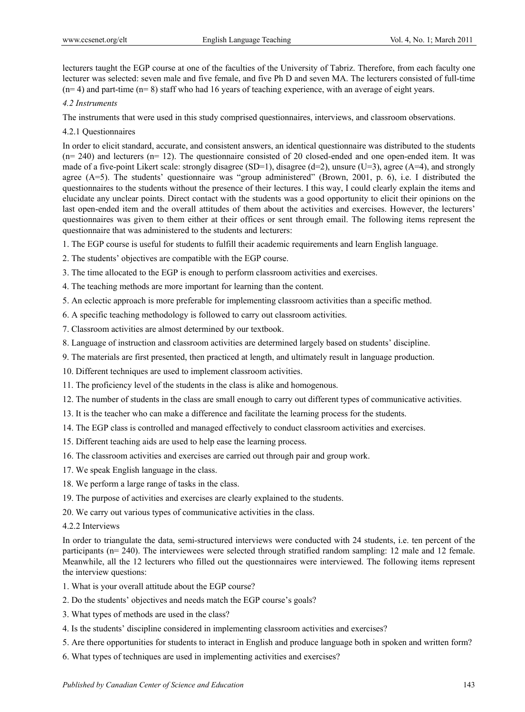lecturers taught the EGP course at one of the faculties of the University of Tabriz. Therefore, from each faculty one lecturer was selected: seven male and five female, and five Ph D and seven MA. The lecturers consisted of full-time  $(n= 4)$  and part-time  $(n= 8)$  staff who had 16 years of teaching experience, with an average of eight years.

# *4.2 Instruments*

The instruments that were used in this study comprised questionnaires, interviews, and classroom observations.

4.2.1 Questionnaires

In order to elicit standard, accurate, and consistent answers, an identical questionnaire was distributed to the students (n= 240) and lecturers (n= 12). The questionnaire consisted of 20 closed-ended and one open-ended item. It was made of a five-point Likert scale: strongly disagree (SD=1), disagree  $(d=2)$ , unsure (U=3), agree  $(A=4)$ , and strongly agree (A=5). The students' questionnaire was "group administered" (Brown, 2001, p. 6), i.e. I distributed the questionnaires to the students without the presence of their lectures. I this way, I could clearly explain the items and elucidate any unclear points. Direct contact with the students was a good opportunity to elicit their opinions on the last open-ended item and the overall attitudes of them about the activities and exercises. However, the lecturers' questionnaires was given to them either at their offices or sent through email. The following items represent the questionnaire that was administered to the students and lecturers:

1. The EGP course is useful for students to fulfill their academic requirements and learn English language.

- 2. The students' objectives are compatible with the EGP course.
- 3. The time allocated to the EGP is enough to perform classroom activities and exercises.
- 4. The teaching methods are more important for learning than the content.
- 5. An eclectic approach is more preferable for implementing classroom activities than a specific method.
- 6. A specific teaching methodology is followed to carry out classroom activities.
- 7. Classroom activities are almost determined by our textbook.
- 8. Language of instruction and classroom activities are determined largely based on students' discipline.
- 9. The materials are first presented, then practiced at length, and ultimately result in language production.
- 10. Different techniques are used to implement classroom activities.
- 11. The proficiency level of the students in the class is alike and homogenous.
- 12. The number of students in the class are small enough to carry out different types of communicative activities.
- 13. It is the teacher who can make a difference and facilitate the learning process for the students.
- 14. The EGP class is controlled and managed effectively to conduct classroom activities and exercises.
- 15. Different teaching aids are used to help ease the learning process.
- 16. The classroom activities and exercises are carried out through pair and group work.
- 17. We speak English language in the class.
- 18. We perform a large range of tasks in the class.
- 19. The purpose of activities and exercises are clearly explained to the students.
- 20. We carry out various types of communicative activities in the class.
- 4.2.2 Interviews

In order to triangulate the data, semi-structured interviews were conducted with 24 students, i.e. ten percent of the participants (n= 240). The interviewees were selected through stratified random sampling: 12 male and 12 female. Meanwhile, all the 12 lecturers who filled out the questionnaires were interviewed. The following items represent the interview questions:

- 1. What is your overall attitude about the EGP course?
- 2. Do the students' objectives and needs match the EGP course's goals?
- 3. What types of methods are used in the class?
- 4. Is the students' discipline considered in implementing classroom activities and exercises?
- 5. Are there opportunities for students to interact in English and produce language both in spoken and written form?
- 6. What types of techniques are used in implementing activities and exercises?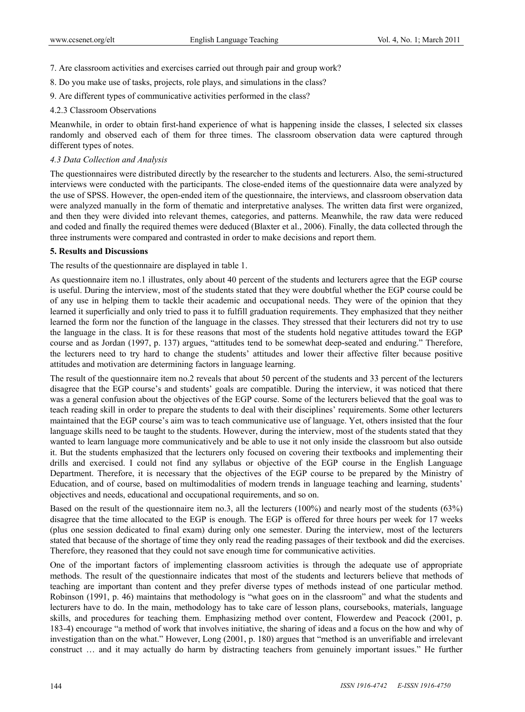- 7. Are classroom activities and exercises carried out through pair and group work?
- 8. Do you make use of tasks, projects, role plays, and simulations in the class?
- 9. Are different types of communicative activities performed in the class?

#### 4.2.3 Classroom Observations

Meanwhile, in order to obtain first-hand experience of what is happening inside the classes, I selected six classes randomly and observed each of them for three times. The classroom observation data were captured through different types of notes.

#### *4.3 Data Collection and Analysis*

The questionnaires were distributed directly by the researcher to the students and lecturers. Also, the semi-structured interviews were conducted with the participants. The close-ended items of the questionnaire data were analyzed by the use of SPSS. However, the open-ended item of the questionnaire, the interviews, and classroom observation data were analyzed manually in the form of thematic and interpretative analyses. The written data first were organized, and then they were divided into relevant themes, categories, and patterns. Meanwhile, the raw data were reduced and coded and finally the required themes were deduced (Blaxter et al., 2006). Finally, the data collected through the three instruments were compared and contrasted in order to make decisions and report them.

#### **5. Results and Discussions**

The results of the questionnaire are displayed in table 1.

As questionnaire item no.1 illustrates, only about 40 percent of the students and lecturers agree that the EGP course is useful. During the interview, most of the students stated that they were doubtful whether the EGP course could be of any use in helping them to tackle their academic and occupational needs. They were of the opinion that they learned it superficially and only tried to pass it to fulfill graduation requirements. They emphasized that they neither learned the form nor the function of the language in the classes. They stressed that their lecturers did not try to use the language in the class. It is for these reasons that most of the students hold negative attitudes toward the EGP course and as Jordan (1997, p. 137) argues, "attitudes tend to be somewhat deep-seated and enduring." Therefore, the lecturers need to try hard to change the students' attitudes and lower their affective filter because positive attitudes and motivation are determining factors in language learning.

The result of the questionnaire item no.2 reveals that about 50 percent of the students and 33 percent of the lecturers disagree that the EGP course's and students' goals are compatible. During the interview, it was noticed that there was a general confusion about the objectives of the EGP course. Some of the lecturers believed that the goal was to teach reading skill in order to prepare the students to deal with their disciplines' requirements. Some other lecturers maintained that the EGP course's aim was to teach communicative use of language. Yet, others insisted that the four language skills need to be taught to the students. However, during the interview, most of the students stated that they wanted to learn language more communicatively and be able to use it not only inside the classroom but also outside it. But the students emphasized that the lecturers only focused on covering their textbooks and implementing their drills and exercised. I could not find any syllabus or objective of the EGP course in the English Language Department. Therefore, it is necessary that the objectives of the EGP course to be prepared by the Ministry of Education, and of course, based on multimodalities of modern trends in language teaching and learning, students' objectives and needs, educational and occupational requirements, and so on.

Based on the result of the questionnaire item no.3, all the lecturers (100%) and nearly most of the students (63%) disagree that the time allocated to the EGP is enough. The EGP is offered for three hours per week for 17 weeks (plus one session dedicated to final exam) during only one semester. During the interview, most of the lecturers stated that because of the shortage of time they only read the reading passages of their textbook and did the exercises. Therefore, they reasoned that they could not save enough time for communicative activities.

One of the important factors of implementing classroom activities is through the adequate use of appropriate methods. The result of the questionnaire indicates that most of the students and lecturers believe that methods of teaching are important than content and they prefer diverse types of methods instead of one particular method. Robinson (1991, p. 46) maintains that methodology is "what goes on in the classroom" and what the students and lecturers have to do. In the main, methodology has to take care of lesson plans, coursebooks, materials, language skills, and procedures for teaching them. Emphasizing method over content, Flowerdew and Peacock (2001, p. 183-4) encourage "a method of work that involves initiative, the sharing of ideas and a focus on the how and why of investigation than on the what." However, Long (2001, p. 180) argues that "method is an unverifiable and irrelevant construct … and it may actually do harm by distracting teachers from genuinely important issues." He further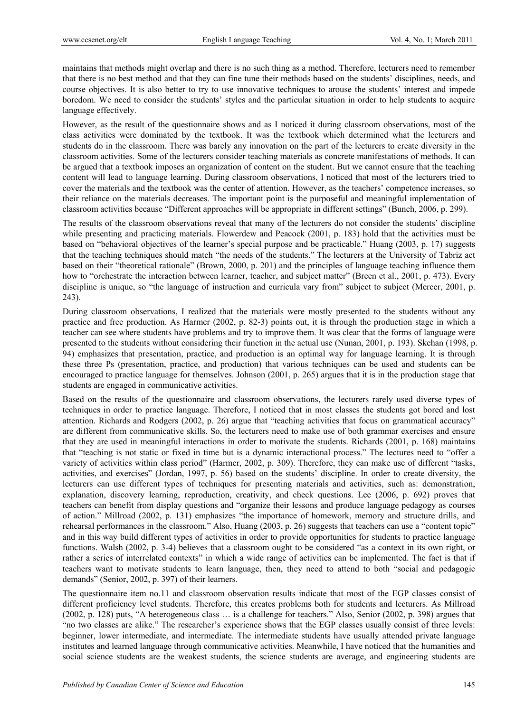maintains that methods might overlap and there is no such thing as a method. Therefore, lecturers need to remember that there is no best method and that they can fine tune their methods based on the students' disciplines, needs, and course objectives. It is also better to try to use innovative techniques to arouse the students' interest and impede boredom. We need to consider the students' styles and the particular situation in order to help students to acquire language effectively.

However, as the result of the questionnaire shows and as I noticed it during classroom observations, most of the class activities were dominated by the textbook. It was the textbook which determined what the lecturers and students do in the classroom. There was barely any innovation on the part of the lecturers to create diversity in the classroom activities. Some of the lecturers consider teaching materials as concrete manifestations of methods. It can be argued that a textbook imposes an organization of content on the student. But we cannot ensure that the teaching content will lead to language learning. During classroom observations, I noticed that most of the lecturers tried to cover the materials and the textbook was the center of attention. However, as the teachers' competence increases, so their reliance on the materials decreases. The important point is the purposeful and meaningful implementation of classroom activities because "Different approaches will be appropriate in different settings" (Bunch, 2006, p. 299).

The results of the classroom observations reveal that many of the lecturers do not consider the students' discipline while presenting and practicing materials. Flowerdew and Peacock (2001, p. 183) hold that the activities must be based on "behavioral objectives of the learner's special purpose and be practicable." Huang (2003, p. 17) suggests that the teaching techniques should match "the needs of the students." The lecturers at the University of Tabriz act based on their "theoretical rationale" (Brown, 2000, p. 201) and the principles of language teaching influence them how to "orchestrate the interaction between learner, teacher, and subject matter" (Breen et al., 2001, p. 473). Every discipline is unique, so "the language of instruction and curricula vary from" subject to subject (Mercer, 2001, p. 243).

During classroom observations, I realized that the materials were mostly presented to the students without any practice and free production. As Harmer (2002, p. 82-3) points out, it is through the production stage in which a teacher can see where students have problems and try to improve them. It was clear that the forms of language were presented to the students without considering their function in the actual use (Nunan, 2001, p. 193). Skehan (1998, p. 94) emphasizes that presentation, practice, and production is an optimal way for language learning. It is through these three Ps (presentation, practice, and production) that various techniques can be used and students can be encouraged to practice language for themselves. Johnson (2001, p. 265) argues that it is in the production stage that students are engaged in communicative activities.

Based on the results of the questionnaire and classroom observations, the lecturers rarely used diverse types of techniques in order to practice language. Therefore, I noticed that in most classes the students got bored and lost attention. Richards and Rodgers (2002, p. 26) argue that "teaching activities that focus on grammatical accuracy" are different from communicative skills. So, the lecturers need to make use of both grammar exercises and ensure that they are used in meaningful interactions in order to motivate the students. Richards (2001, p. 168) maintains that "teaching is not static or fixed in time but is a dynamic interactional process." The lectures need to "offer a variety of activities within class period" (Harmer, 2002, p. 309). Therefore, they can make use of different "tasks, activities, and exercises" (Jordan, 1997, p. 56) based on the students' discipline. In order to create diversity, the lecturers can use different types of techniques for presenting materials and activities, such as: demonstration, explanation, discovery learning, reproduction, creativity, and check questions. Lee (2006, p. 692) proves that teachers can benefit from display questions and "organize their lessons and produce language pedagogy as courses of action." Millroad (2002, p. 131) emphasizes "the importance of homework, memory and structure drills, and rehearsal performances in the classroom." Also, Huang (2003, p. 26) suggests that teachers can use a "content topic" and in this way build different types of activities in order to provide opportunities for students to practice language functions. Walsh (2002, p. 3-4) believes that a classroom ought to be considered "as a context in its own right, or rather a series of interrelated contexts" in which a wide range of activities can be implemented. The fact is that if teachers want to motivate students to learn language, then, they need to attend to both "social and pedagogic demands" (Senior, 2002, p. 397) of their learners.

The questionnaire item no.11 and classroom observation results indicate that most of the EGP classes consist of different proficiency level students. Therefore, this creates problems both for students and lecturers. As Millroad (2002, p. 128) puts, "A heterogeneous class … is a challenge for teachers." Also, Senior (2002, p. 398) argues that "no two classes are alike." The researcher's experience shows that the EGP classes usually consist of three levels: beginner, lower intermediate, and intermediate. The intermediate students have usually attended private language institutes and learned language through communicative activities. Meanwhile, I have noticed that the humanities and social science students are the weakest students, the science students are average, and engineering students are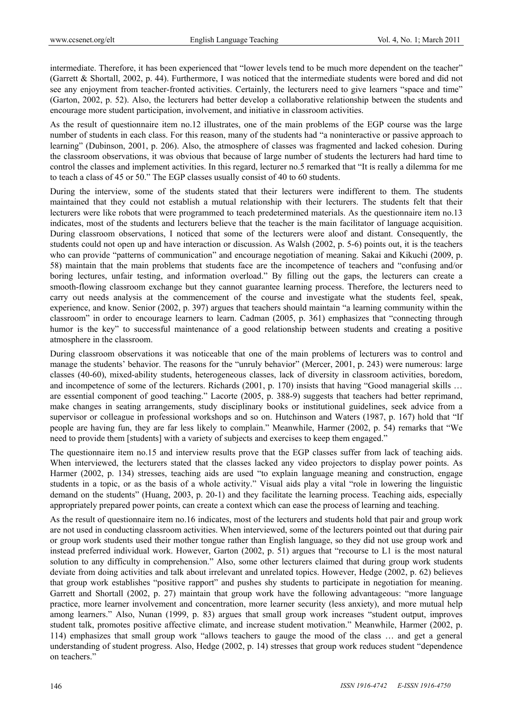intermediate. Therefore, it has been experienced that "lower levels tend to be much more dependent on the teacher" (Garrett & Shortall, 2002, p. 44). Furthermore, I was noticed that the intermediate students were bored and did not see any enjoyment from teacher-fronted activities. Certainly, the lecturers need to give learners "space and time" (Garton, 2002, p. 52). Also, the lecturers had better develop a collaborative relationship between the students and encourage more student participation, involvement, and initiative in classroom activities.

As the result of questionnaire item no.12 illustrates, one of the main problems of the EGP course was the large number of students in each class. For this reason, many of the students had "a noninteractive or passive approach to learning" (Dubinson, 2001, p. 206). Also, the atmosphere of classes was fragmented and lacked cohesion. During the classroom observations, it was obvious that because of large number of students the lecturers had hard time to control the classes and implement activities. In this regard, lecturer no.5 remarked that "It is really a dilemma for me to teach a class of 45 or 50." The EGP classes usually consist of 40 to 60 students.

During the interview, some of the students stated that their lecturers were indifferent to them. The students maintained that they could not establish a mutual relationship with their lecturers. The students felt that their lecturers were like robots that were programmed to teach predetermined materials. As the questionnaire item no.13 indicates, most of the students and lecturers believe that the teacher is the main facilitator of language acquisition. During classroom observations, I noticed that some of the lecturers were aloof and distant. Consequently, the students could not open up and have interaction or discussion. As Walsh (2002, p. 5-6) points out, it is the teachers who can provide "patterns of communication" and encourage negotiation of meaning. Sakai and Kikuchi (2009, p. 58) maintain that the main problems that students face are the incompetence of teachers and "confusing and/or boring lectures, unfair testing, and information overload." By filling out the gaps, the lecturers can create a smooth-flowing classroom exchange but they cannot guarantee learning process. Therefore, the lecturers need to carry out needs analysis at the commencement of the course and investigate what the students feel, speak, experience, and know. Senior (2002, p. 397) argues that teachers should maintain "a learning community within the classroom" in order to encourage learners to learn. Cadman (2005, p. 361) emphasizes that "connecting through humor is the key" to successful maintenance of a good relationship between students and creating a positive atmosphere in the classroom.

During classroom observations it was noticeable that one of the main problems of lecturers was to control and manage the students' behavior. The reasons for the "unruly behavior" (Mercer, 2001, p. 243) were numerous: large classes (40-60), mixed-ability students, heterogeneous classes, lack of diversity in classroom activities, boredom, and incompetence of some of the lecturers. Richards (2001, p. 170) insists that having "Good managerial skills ... are essential component of good teaching." Lacorte (2005, p. 388-9) suggests that teachers had better reprimand, make changes in seating arrangements, study disciplinary books or institutional guidelines, seek advice from a supervisor or colleague in professional workshops and so on. Hutchinson and Waters (1987, p. 167) hold that "If people are having fun, they are far less likely to complain." Meanwhile, Harmer (2002, p. 54) remarks that "We need to provide them [students] with a variety of subjects and exercises to keep them engaged."

The questionnaire item no.15 and interview results prove that the EGP classes suffer from lack of teaching aids. When interviewed, the lecturers stated that the classes lacked any video projectors to display power points. As Harmer (2002, p. 134) stresses, teaching aids are used "to explain language meaning and construction, engage students in a topic, or as the basis of a whole activity." Visual aids play a vital "role in lowering the linguistic demand on the students" (Huang, 2003, p. 20-1) and they facilitate the learning process. Teaching aids, especially appropriately prepared power points, can create a context which can ease the process of learning and teaching.

As the result of questionnaire item no.16 indicates, most of the lecturers and students hold that pair and group work are not used in conducting classroom activities. When interviewed, some of the lecturers pointed out that during pair or group work students used their mother tongue rather than English language, so they did not use group work and instead preferred individual work. However, Garton (2002, p. 51) argues that "recourse to L1 is the most natural solution to any difficulty in comprehension." Also, some other lecturers claimed that during group work students deviate from doing activities and talk about irrelevant and unrelated topics. However, Hedge (2002, p. 62) believes that group work establishes "positive rapport" and pushes shy students to participate in negotiation for meaning. Garrett and Shortall (2002, p. 27) maintain that group work have the following advantageous: "more language practice, more learner involvement and concentration, more learner security (less anxiety), and more mutual help among learners." Also, Nunan (1999, p. 83) argues that small group work increases "student output, improves student talk, promotes positive affective climate, and increase student motivation." Meanwhile, Harmer (2002, p. 114) emphasizes that small group work "allows teachers to gauge the mood of the class … and get a general understanding of student progress. Also, Hedge (2002, p. 14) stresses that group work reduces student "dependence on teachers."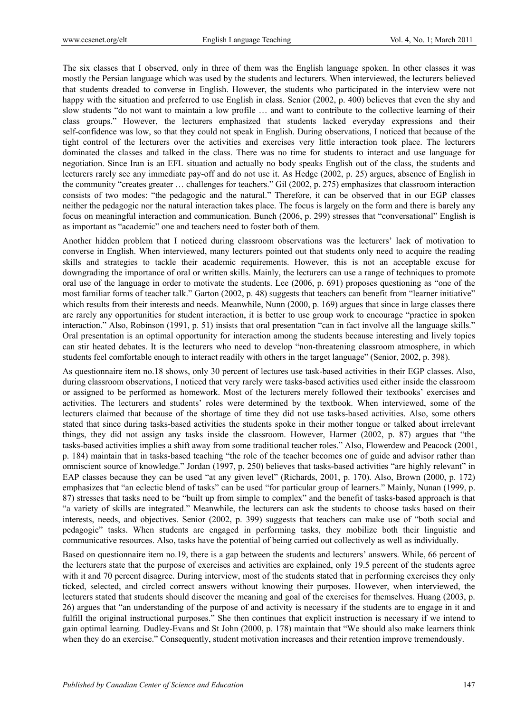The six classes that I observed, only in three of them was the English language spoken. In other classes it was mostly the Persian language which was used by the students and lecturers. When interviewed, the lecturers believed that students dreaded to converse in English. However, the students who participated in the interview were not happy with the situation and preferred to use English in class. Senior (2002, p. 400) believes that even the shy and slow students "do not want to maintain a low profile … and want to contribute to the collective learning of their class groups." However, the lecturers emphasized that students lacked everyday expressions and their self-confidence was low, so that they could not speak in English. During observations, I noticed that because of the tight control of the lecturers over the activities and exercises very little interaction took place. The lecturers dominated the classes and talked in the class. There was no time for students to interact and use language for negotiation. Since Iran is an EFL situation and actually no body speaks English out of the class, the students and lecturers rarely see any immediate pay-off and do not use it. As Hedge (2002, p. 25) argues, absence of English in the community "creates greater … challenges for teachers." Gil (2002, p. 275) emphasizes that classroom interaction consists of two modes: "the pedagogic and the natural." Therefore, it can be observed that in our EGP classes neither the pedagogic nor the natural interaction takes place. The focus is largely on the form and there is barely any focus on meaningful interaction and communication. Bunch (2006, p. 299) stresses that "conversational" English is as important as "academic" one and teachers need to foster both of them.

Another hidden problem that I noticed during classroom observations was the lecturers' lack of motivation to converse in English. When interviewed, many lecturers pointed out that students only need to acquire the reading skills and strategies to tackle their academic requirements. However, this is not an acceptable excuse for downgrading the importance of oral or written skills. Mainly, the lecturers can use a range of techniques to promote oral use of the language in order to motivate the students. Lee (2006, p. 691) proposes questioning as "one of the most familiar forms of teacher talk." Garton (2002, p. 48) suggests that teachers can benefit from "learner initiative" which results from their interests and needs. Meanwhile, Nunn (2000, p. 169) argues that since in large classes there are rarely any opportunities for student interaction, it is better to use group work to encourage "practice in spoken interaction." Also, Robinson (1991, p. 51) insists that oral presentation "can in fact involve all the language skills." Oral presentation is an optimal opportunity for interaction among the students because interesting and lively topics can stir heated debates. It is the lecturers who need to develop "non-threatening classroom atmosphere, in which students feel comfortable enough to interact readily with others in the target language" (Senior, 2002, p. 398).

As questionnaire item no.18 shows, only 30 percent of lectures use task-based activities in their EGP classes. Also, during classroom observations, I noticed that very rarely were tasks-based activities used either inside the classroom or assigned to be performed as homework. Most of the lecturers merely followed their textbooks' exercises and activities. The lecturers and students' roles were determined by the textbook. When interviewed, some of the lecturers claimed that because of the shortage of time they did not use tasks-based activities. Also, some others stated that since during tasks-based activities the students spoke in their mother tongue or talked about irrelevant things, they did not assign any tasks inside the classroom. However, Harmer (2002, p. 87) argues that "the tasks-based activities implies a shift away from some traditional teacher roles." Also, Flowerdew and Peacock (2001, p. 184) maintain that in tasks-based teaching "the role of the teacher becomes one of guide and advisor rather than omniscient source of knowledge." Jordan (1997, p. 250) believes that tasks-based activities "are highly relevant" in EAP classes because they can be used "at any given level" (Richards, 2001, p. 170). Also, Brown (2000, p. 172) emphasizes that "an eclectic blend of tasks" can be used "for particular group of learners." Mainly, Nunan (1999, p. 87) stresses that tasks need to be "built up from simple to complex" and the benefit of tasks-based approach is that "a variety of skills are integrated." Meanwhile, the lecturers can ask the students to choose tasks based on their interests, needs, and objectives. Senior (2002, p. 399) suggests that teachers can make use of "both social and pedagogic" tasks. When students are engaged in performing tasks, they mobilize both their linguistic and communicative resources. Also, tasks have the potential of being carried out collectively as well as individually.

Based on questionnaire item no.19, there is a gap between the students and lecturers' answers. While, 66 percent of the lecturers state that the purpose of exercises and activities are explained, only 19.5 percent of the students agree with it and 70 percent disagree. During interview, most of the students stated that in performing exercises they only ticked, selected, and circled correct answers without knowing their purposes. However, when interviewed, the lecturers stated that students should discover the meaning and goal of the exercises for themselves. Huang (2003, p. 26) argues that "an understanding of the purpose of and activity is necessary if the students are to engage in it and fulfill the original instructional purposes." She then continues that explicit instruction is necessary if we intend to gain optimal learning. Dudley-Evans and St John (2000, p. 178) maintain that "We should also make learners think when they do an exercise." Consequently, student motivation increases and their retention improve tremendously.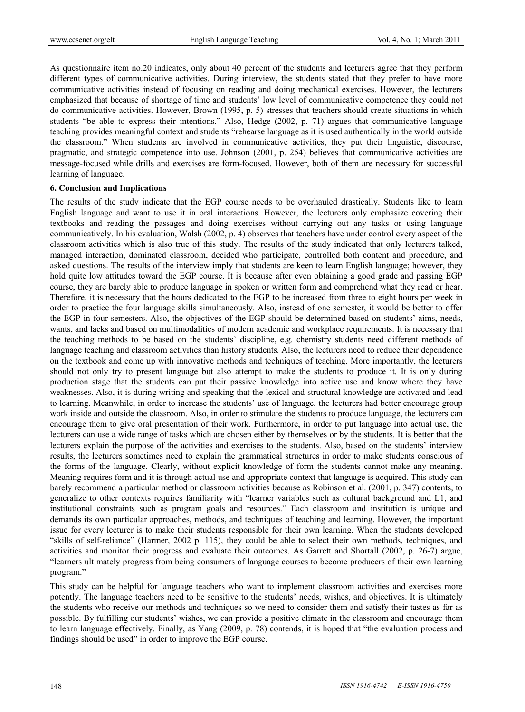As questionnaire item no.20 indicates, only about 40 percent of the students and lecturers agree that they perform different types of communicative activities. During interview, the students stated that they prefer to have more communicative activities instead of focusing on reading and doing mechanical exercises. However, the lecturers emphasized that because of shortage of time and students' low level of communicative competence they could not do communicative activities. However, Brown (1995, p. 5) stresses that teachers should create situations in which students "be able to express their intentions." Also, Hedge (2002, p. 71) argues that communicative language teaching provides meaningful context and students "rehearse language as it is used authentically in the world outside the classroom." When students are involved in communicative activities, they put their linguistic, discourse, pragmatic, and strategic competence into use. Johnson (2001, p. 254) believes that communicative activities are message-focused while drills and exercises are form-focused. However, both of them are necessary for successful learning of language.

#### **6. Conclusion and Implications**

The results of the study indicate that the EGP course needs to be overhauled drastically. Students like to learn English language and want to use it in oral interactions. However, the lecturers only emphasize covering their textbooks and reading the passages and doing exercises without carrying out any tasks or using language communicatively. In his evaluation, Walsh (2002, p. 4) observes that teachers have under control every aspect of the classroom activities which is also true of this study. The results of the study indicated that only lecturers talked, managed interaction, dominated classroom, decided who participate, controlled both content and procedure, and asked questions. The results of the interview imply that students are keen to learn English language; however, they hold quite low attitudes toward the EGP course. It is because after even obtaining a good grade and passing EGP course, they are barely able to produce language in spoken or written form and comprehend what they read or hear. Therefore, it is necessary that the hours dedicated to the EGP to be increased from three to eight hours per week in order to practice the four language skills simultaneously. Also, instead of one semester, it would be better to offer the EGP in four semesters. Also, the objectives of the EGP should be determined based on students' aims, needs, wants, and lacks and based on multimodalities of modern academic and workplace requirements. It is necessary that the teaching methods to be based on the students' discipline, e.g. chemistry students need different methods of language teaching and classroom activities than history students. Also, the lecturers need to reduce their dependence on the textbook and come up with innovative methods and techniques of teaching. More importantly, the lecturers should not only try to present language but also attempt to make the students to produce it. It is only during production stage that the students can put their passive knowledge into active use and know where they have weaknesses. Also, it is during writing and speaking that the lexical and structural knowledge are activated and lead to learning. Meanwhile, in order to increase the students' use of language, the lecturers had better encourage group work inside and outside the classroom. Also, in order to stimulate the students to produce language, the lecturers can encourage them to give oral presentation of their work. Furthermore, in order to put language into actual use, the lecturers can use a wide range of tasks which are chosen either by themselves or by the students. It is better that the lecturers explain the purpose of the activities and exercises to the students. Also, based on the students' interview results, the lecturers sometimes need to explain the grammatical structures in order to make students conscious of the forms of the language. Clearly, without explicit knowledge of form the students cannot make any meaning. Meaning requires form and it is through actual use and appropriate context that language is acquired. This study can barely recommend a particular method or classroom activities because as Robinson et al. (2001, p. 347) contents, to generalize to other contexts requires familiarity with "learner variables such as cultural background and L1, and institutional constraints such as program goals and resources." Each classroom and institution is unique and demands its own particular approaches, methods, and techniques of teaching and learning. However, the important issue for every lecturer is to make their students responsible for their own learning. When the students developed "skills of self-reliance" (Harmer, 2002 p. 115), they could be able to select their own methods, techniques, and activities and monitor their progress and evaluate their outcomes. As Garrett and Shortall (2002, p. 26-7) argue, "learners ultimately progress from being consumers of language courses to become producers of their own learning program."

This study can be helpful for language teachers who want to implement classroom activities and exercises more potently. The language teachers need to be sensitive to the students' needs, wishes, and objectives. It is ultimately the students who receive our methods and techniques so we need to consider them and satisfy their tastes as far as possible. By fulfilling our students' wishes, we can provide a positive climate in the classroom and encourage them to learn language effectively. Finally, as Yang (2009, p. 78) contends, it is hoped that "the evaluation process and findings should be used" in order to improve the EGP course.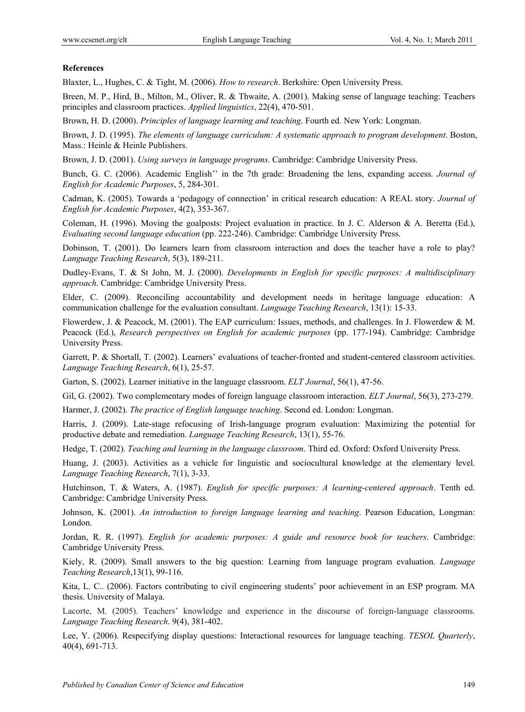### **References**

Blaxter, L., Hughes, C. & Tight, M. (2006). *How to research*. Berkshire: Open University Press.

Breen, M. P., Hird, B., Milton, M., Oliver, R. & Thwaite, A. (2001). Making sense of language teaching: Teachers principles and classroom practices. *Applied linguistics*, 22(4), 470-501.

Brown, H. D. (2000). *Principles of language learning and teaching*. Fourth ed. New York: Longman.

Brown, J. D. (1995). *The elements of language curriculum: A systematic approach to program development*. Boston, Mass.: Heinle & Heinle Publishers.

Brown, J. D. (2001). *Using surveys in language programs*. Cambridge: Cambridge University Press.

Bunch, G. C. (2006). Academic English'' in the 7th grade: Broadening the lens, expanding access. *Journal of English for Academic Purposes*, 5, 284-301.

Cadman, K. (2005). Towards a 'pedagogy of connection' in critical research education: A REAL story. *Journal of English for Academic Purposes*, 4(2), 353-367.

Coleman, H. (1996). Moving the goalposts: Project evaluation in practice. In J. C. Alderson & A. Beretta (Ed.), *Evaluating second language education* (pp. 222-246). Cambridge: Cambridge University Press.

Dobinson, T. (2001). Do learners learn from classroom interaction and does the teacher have a role to play? *Language Teaching Research*, 5(3), 189-211.

Dudley-Evans, T. & St John, M. J. (2000). *Developments in English for specific purposes: A multidisciplinary approach*. Cambridge: Cambridge University Press.

Elder, C. (2009). Reconciling accountability and development needs in heritage language education: A communication challenge for the evaluation consultant. *Language Teaching Research*, 13(1): 15-33.

Flowerdew, J. & Peacock, M. (2001). The EAP curriculum: Issues, methods, and challenges. In J. Flowerdew & M. Peacock (Ed.), *Research perspectives on English for academic purposes* (pp. 177-194). Cambridge: Cambridge University Press.

Garrett, P. & Shortall, T. (2002). Learners' evaluations of teacher-fronted and student-centered classroom activities. *Language Teaching Research*, 6(1), 25-57.

Garton, S. (2002). Learner initiative in the language classroom. *ELT Journal*, 56(1), 47-56.

Gil, G. (2002). Two complementary modes of foreign language classroom interaction. *ELT Journal*, 56(3), 273-279.

Harmer, J. (2002). *The practice of English language teaching*. Second ed. London: Longman.

Harris, J. (2009). Late-stage refocusing of Irish-language program evaluation: Maximizing the potential for productive debate and remediation. *Language Teaching Research*, 13(1), 55-76.

Hedge, T. (2002). *Teaching and learning in the language classroom*. Third ed. Oxford: Oxford University Press.

Huang, J. (2003). Activities as a vehicle for linguistic and sociocultural knowledge at the elementary level. *Language Teaching Research*, 7(1), 3-33.

Hutchinson, T. & Waters, A. (1987). *English for specific purposes: A learning-centered approach*. Tenth ed. Cambridge: Cambridge University Press.

Johnson, K. (2001). *An introduction to foreign language learning and teaching*. Pearson Education, Longman: London.

Jordan, R. R. (1997). *English for academic purposes: A guide and resource book for teachers*. Cambridge: Cambridge University Press.

Kiely, R. (2009). Small answers to the big question: Learning from language program evaluation. *Language Teaching Research*,13(1), 99-116.

Kita, L. C.. (2006). Factors contributing to civil engineering students' poor achievement in an ESP program. MA thesis. University of Malaya.

Lacorte, M. (2005). Teachers' knowledge and experience in the discourse of foreign-language classrooms. *Language Teaching Research*. 9(4), 381-402.

Lee, Y. (2006). Respecifying display questions: Interactional resources for language teaching. *TESOL Quarterly*, 40(4), 691-713.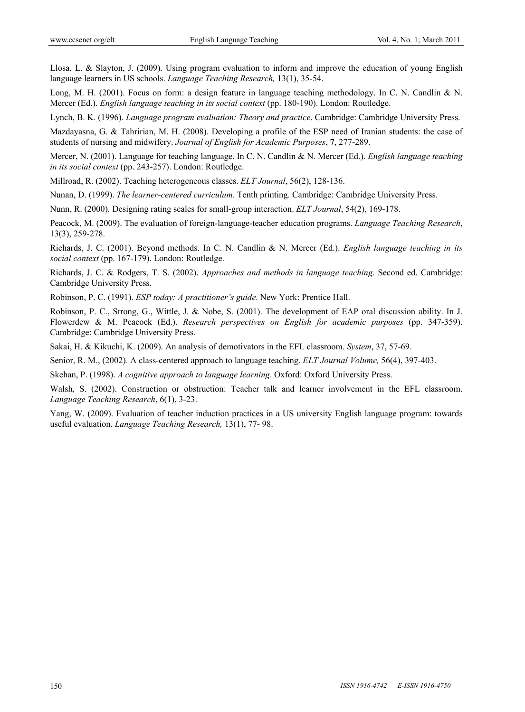Llosa, L. & Slayton, J. (2009). Using program evaluation to inform and improve the education of young English language learners in US schools. *Language Teaching Research,* 13(1), 35-54.

Long, M. H. (2001). Focus on form: a design feature in language teaching methodology. In C. N. Candlin & N. Mercer (Ed.). *English language teaching in its social context* (pp. 180-190). London: Routledge.

Lynch, B. K. (1996). *Language program evaluation: Theory and practice*. Cambridge: Cambridge University Press.

Mazdayasna, G. & Tahririan, M. H. (2008). Developing a profile of the ESP need of Iranian students: the case of students of nursing and midwifery. *Journal of English for Academic Purposes*, **7**, 277-289.

Mercer, N. (2001). Language for teaching language. In C. N. Candlin & N. Mercer (Ed.). *English language teaching in its social context* (pp. 243-257). London: Routledge.

Millroad, R. (2002). Teaching heterogeneous classes. *ELT Journal*, 56(2), 128-136.

Nunan, D. (1999). *The learner-centered curriculum*. Tenth printing. Cambridge: Cambridge University Press.

Nunn, R. (2000). Designing rating scales for small-group interaction. *ELT Journal*, 54(2), 169-178.

Peacock, M. (2009). The evaluation of foreign-language-teacher education programs. *Language Teaching Research*, 13(3), 259-278.

Richards, J. C. (2001). Beyond methods. In C. N. Candlin & N. Mercer (Ed.). *English language teaching in its social context* (pp. 167-179). London: Routledge.

Richards, J. C. & Rodgers, T. S. (2002). *Approaches and methods in language teaching*. Second ed. Cambridge: Cambridge University Press.

Robinson, P. C. (1991). *ESP today: A practitioner's guide*. New York: Prentice Hall.

Robinson, P. C., Strong, G., Wittle, J. & Nobe, S. (2001). The development of EAP oral discussion ability. In J. Flowerdew & M. Peacock (Ed.). *Research perspectives on English for academic purposes* (pp. 347-359). Cambridge: Cambridge University Press.

Sakai, H. & Kikuchi, K. (2009). An analysis of demotivators in the EFL classroom. *System*, 37, 57-69.

Senior, R. M., (2002). A class-centered approach to language teaching. *ELT Journal Volume,* 56(4), 397-403.

Skehan, P. (1998). *A cognitive approach to language learning*. Oxford: Oxford University Press.

Walsh, S. (2002). Construction or obstruction: Teacher talk and learner involvement in the EFL classroom. *Language Teaching Research*, 6(1), 3-23.

Yang, W. (2009). Evaluation of teacher induction practices in a US university English language program: towards useful evaluation. *Language Teaching Research,* 13(1), 77- 98.